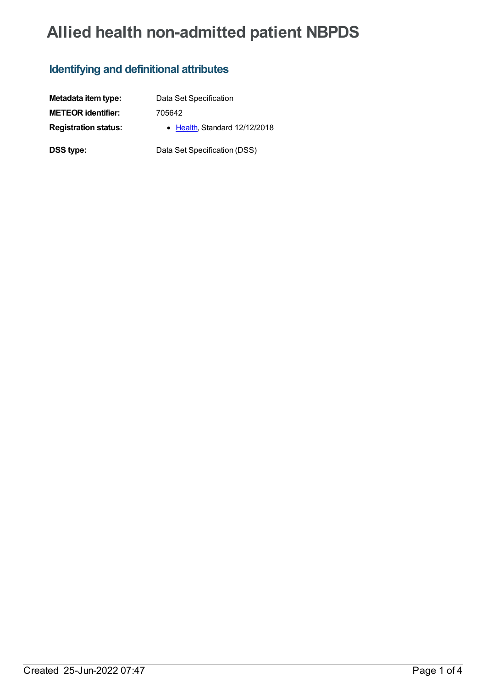# **Allied health non-admitted patient NBPDS**

### **Identifying and definitional attributes**

| Metadata item type:         | Data Set Specification        |
|-----------------------------|-------------------------------|
| <b>METEOR identifier:</b>   | 705642                        |
| <b>Registration status:</b> | • Health, Standard 12/12/2018 |
| DSS type:                   | Data Set Specification (DSS)  |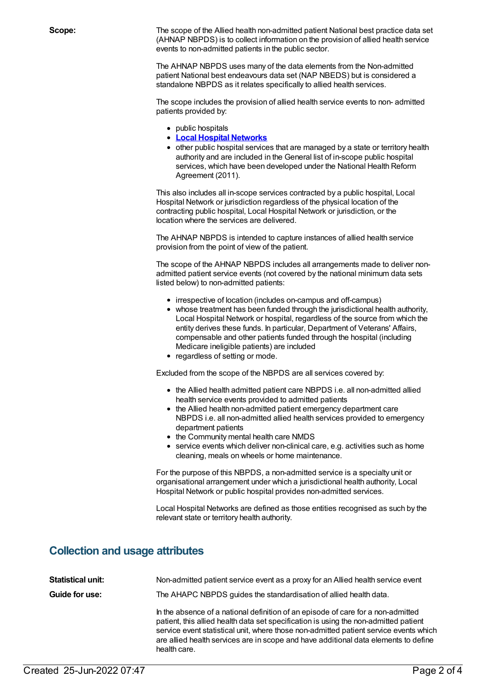**Scope:** The scope of the Allied health non-admitted patient National best practice data set (AHNAP NBPDS) is to collect information on the provision of allied health service events to non-admitted patients in the public sector.

> The AHNAP NBPDS uses many of the data elements from the Non-admitted patient National best endeavours data set (NAP NBEDS) but is considered a standalone NBPDS as it relates specifically to allied health services.

The scope includes the provision of allied health service events to non- admitted patients provided by:

- public hospitals
- **Local Hospital [Networks](https://meteor.aihw.gov.au/content/491016)**
- other public hospital services that are managed by a state or territory health authority and are included in the General list of in-scope public hospital services, which have been developed under the National Health Reform Agreement (2011).

This also includes all in-scope services contracted by a public hospital, Local Hospital Network or jurisdiction regardless of the physical location of the contracting public hospital, Local Hospital Network or jurisdiction, or the location where the services are delivered.

The AHNAP NBPDS is intended to capture instances of allied health service provision from the point of view of the patient.

The scope of the AHNAP NBPDS includes all arrangements made to deliver nonadmitted patient service events (not covered by the national minimum data sets listed below) to non-admitted patients:

- irrespective of location (includes on-campus and off-campus)
- whose treatment has been funded through the jurisdictional health authority, Local Hospital Network or hospital, regardless of the source from which the entity derives these funds. In particular, Department of Veterans' Affairs, compensable and other patients funded through the hospital (including Medicare ineligible patients) are included
- regardless of setting or mode.

Excluded from the scope of the NBPDS are all services covered by:

- the Allied health admitted patient care NBPDS i.e. all non-admitted allied health service events provided to admitted patients
- the Allied health non-admitted patient emergency department care NBPDS i.e. all non-admitted allied health services provided to emergency department patients
- the Community mental health care NMDS
- service events which deliver non-clinical care, e.g. activities such as home cleaning, meals on wheels or home maintenance.

For the purpose of this NBPDS, a non-admitted service is a specialty unit or organisational arrangement under which a jurisdictional health authority, Local Hospital Network or public hospital provides non-admitted services.

Local Hospital Networks are defined as those entities recognised as such by the relevant state or territory health authority.

### **Collection and usage attributes**

| <b>Statistical unit:</b> | Non-admitted patient service event as a proxy for an Allied health service event                                                                                                                                                                                                                                                                                         |
|--------------------------|--------------------------------------------------------------------------------------------------------------------------------------------------------------------------------------------------------------------------------------------------------------------------------------------------------------------------------------------------------------------------|
| Guide for use:           | The AHAPC NBPDS guides the standardisation of allied health data.                                                                                                                                                                                                                                                                                                        |
|                          | In the absence of a national definition of an episode of care for a non-admitted<br>patient, this allied health data set specification is using the non-admitted patient<br>service event statistical unit, where those non-admitted patient service events which<br>are allied health services are in scope and have additional data elements to define<br>health care. |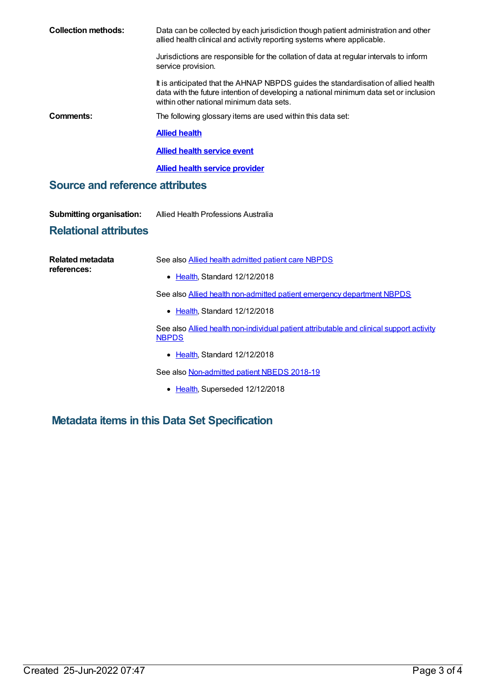| <b>Collection methods:</b>      | Data can be collected by each jurisdiction though patient administration and other<br>allied health clinical and activity reporting systems where applicable.                                                           |  |
|---------------------------------|-------------------------------------------------------------------------------------------------------------------------------------------------------------------------------------------------------------------------|--|
|                                 | Jurisdictions are responsible for the collation of data at regular intervals to inform<br>service provision.                                                                                                            |  |
|                                 | It is anticipated that the AHNAP NBPDS guides the standardisation of allied health<br>data with the future intention of developing a national minimum data set or inclusion<br>within other national minimum data sets. |  |
| Comments:                       | The following glossary items are used within this data set:                                                                                                                                                             |  |
|                                 | <b>Allied health</b>                                                                                                                                                                                                    |  |
|                                 | <b>Allied health service event</b>                                                                                                                                                                                      |  |
|                                 | <b>Allied health service provider</b>                                                                                                                                                                                   |  |
| Source and reference attributes |                                                                                                                                                                                                                         |  |
| <b>Submitting organisation:</b> | Allied Health Professions Australia                                                                                                                                                                                     |  |
| <b>Relational attributes</b>    |                                                                                                                                                                                                                         |  |
|                                 |                                                                                                                                                                                                                         |  |

| Related metadata<br>references: | See also Allied health admitted patient care NBPDS                                                       |
|---------------------------------|----------------------------------------------------------------------------------------------------------|
|                                 | • Health, Standard 12/12/2018                                                                            |
|                                 | See also Allied health non-admitted patient emergency department NBPDS                                   |
|                                 | • Health, Standard 12/12/2018                                                                            |
|                                 | See also Allied health non-individual patient attributable and clinical support activity<br><b>NBPDS</b> |
|                                 | • Health, Standard 12/12/2018                                                                            |
|                                 | See also Non-admitted patient NBEDS 2018-19                                                              |
|                                 | • Health, Superseded 12/12/2018                                                                          |

## **Metadata items in this Data Set Specification**